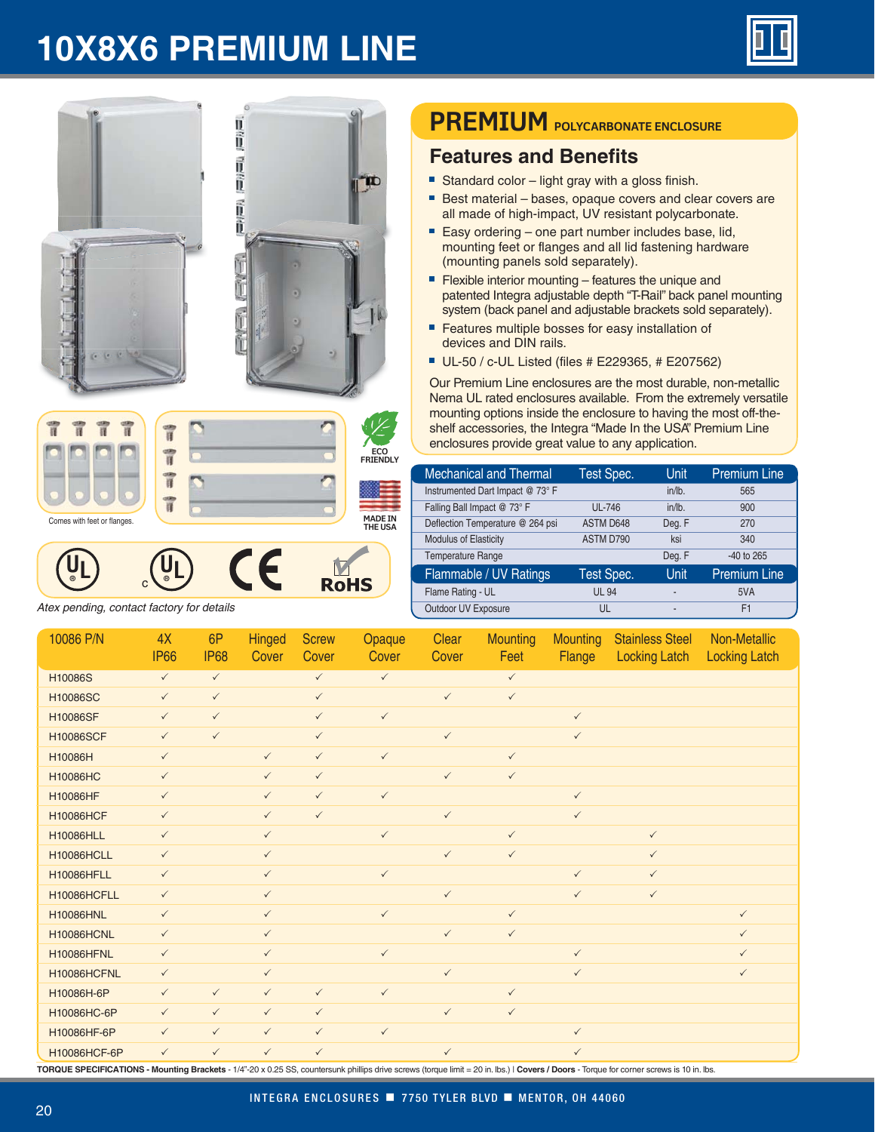## **10X8X6 PREMIUM LINE**





Atex pending, contact factory for details

## **PREMIUM** POLYCARBONATE ENCLOSURE

## **Features and Benefits**

- Standard color light gray with a gloss finish.
- Best material bases, opaque covers and clear covers are all made of high-impact, UV resistant polycarbonate.
- Easy ordering one part number includes base, lid, mounting feet or flanges and all lid fastening hardware (mounting panels sold separately).
- Flexible interior mounting features the unique and patented Integra adjustable depth "T-Rail" back panel mounting system (back panel and adjustable brackets sold separately).
- Features multiple bosses for easy installation of devices and DIN rails.
- UL-50 / c-UL Listed (files # E229365, # E207562)

Our Premium Line enclosures are the most durable, non-metallic Nema UL rated enclosures available. From the extremely versatile mounting options inside the enclosure to having the most off-theshelf accessories, the Integra "Made In the USA" Premium Line enclosures provide great value to any application.

| <b>Mechanical and Thermal</b>    | Test Spec.        | <b>Unit</b>    | <b>Premium Line</b> |
|----------------------------------|-------------------|----------------|---------------------|
| Instrumented Dart Impact @ 73° F |                   | $in/lb$ .      | 565                 |
| Falling Ball Impact @ 73° F      | <b>UL-746</b>     | $in/lb$ .      | 900                 |
| Deflection Temperature @ 264 psi | ASTM D648         | Deg. F         | 270                 |
| Modulus of Elasticity            | ASTM D790         | ksi            | 340                 |
| <b>Temperature Range</b>         |                   | Deg. F         | $-40$ to 265        |
| Flammable / UV Ratings           | <b>Test Spec.</b> | Unit           | <b>Premium Line</b> |
| Flame Rating - UL                | <b>UL 94</b>      | $\overline{a}$ | 5VA                 |
| Outdoor UV Exposure              | UL                | $\blacksquare$ | F1                  |

| 10086 P/N         | 4X<br><b>IP66</b> | 6P<br><b>IP68</b> | <b>Hinged</b><br>Cover | <b>Screw</b><br>Cover | Opaque<br>Cover | Clear<br>Cover | <b>Mounting</b><br>Feet | <b>Mounting</b><br>Flange | <b>Stainless Steel</b><br><b>Locking Latch</b> | Non-Metallic<br><b>Locking Latch</b> |
|-------------------|-------------------|-------------------|------------------------|-----------------------|-----------------|----------------|-------------------------|---------------------------|------------------------------------------------|--------------------------------------|
| H10086S           | $\checkmark$      | $\checkmark$      |                        | $\checkmark$          | $\checkmark$    |                | $\checkmark$            |                           |                                                |                                      |
| H10086SC          | $\checkmark$      | $\checkmark$      |                        | $\checkmark$          |                 | $\checkmark$   | $\checkmark$            |                           |                                                |                                      |
| H10086SF          | $\checkmark$      | $\checkmark$      |                        | $\checkmark$          | $\checkmark$    |                |                         | $\checkmark$              |                                                |                                      |
| <b>H10086SCF</b>  | $\checkmark$      | $\checkmark$      |                        | $\checkmark$          |                 | $\checkmark$   |                         | $\checkmark$              |                                                |                                      |
| H10086H           | $\checkmark$      |                   | $\checkmark$           | $\checkmark$          | $\checkmark$    |                | $\checkmark$            |                           |                                                |                                      |
| <b>H10086HC</b>   | $\checkmark$      |                   | $\checkmark$           | $\checkmark$          |                 | $\checkmark$   | $\checkmark$            |                           |                                                |                                      |
| H10086HF          | $\checkmark$      |                   | $\checkmark$           | $\checkmark$          | $\checkmark$    |                |                         | $\checkmark$              |                                                |                                      |
| <b>H10086HCF</b>  | $\checkmark$      |                   | $\checkmark$           | $\checkmark$          |                 | $\checkmark$   |                         | $\checkmark$              |                                                |                                      |
| <b>H10086HLL</b>  | $\checkmark$      |                   | $\checkmark$           |                       | $\checkmark$    |                | $\checkmark$            |                           | $\checkmark$                                   |                                      |
| <b>H10086HCLL</b> | $\checkmark$      |                   | $\checkmark$           |                       |                 | $\checkmark$   | $\checkmark$            |                           | $\checkmark$                                   |                                      |
| <b>H10086HFLL</b> | $\checkmark$      |                   | $\checkmark$           |                       | $\checkmark$    |                |                         | $\checkmark$              | $\checkmark$                                   |                                      |
| H10086HCFLL       | $\checkmark$      |                   | $\checkmark$           |                       |                 | $\checkmark$   |                         | $\checkmark$              | $\checkmark$                                   |                                      |
| <b>H10086HNL</b>  | $\checkmark$      |                   | $\checkmark$           |                       | $\checkmark$    |                | $\checkmark$            |                           |                                                | $\checkmark$                         |
| <b>H10086HCNL</b> | $\checkmark$      |                   | $\checkmark$           |                       |                 | $\checkmark$   | $\checkmark$            |                           |                                                | $\checkmark$                         |
| <b>H10086HFNL</b> | $\checkmark$      |                   | $\checkmark$           |                       | $\checkmark$    |                |                         | $\checkmark$              |                                                | $\checkmark$                         |
| H10086HCFNL       | $\checkmark$      |                   | $\checkmark$           |                       |                 | $\checkmark$   |                         | $\checkmark$              |                                                | $\checkmark$                         |
| H10086H-6P        | $\checkmark$      | $\checkmark$      | $\checkmark$           | $\checkmark$          | $\checkmark$    |                | $\checkmark$            |                           |                                                |                                      |
| H10086HC-6P       | $\checkmark$      | $\checkmark$      | $\checkmark$           | $\checkmark$          |                 | $\checkmark$   | $\checkmark$            |                           |                                                |                                      |
| H10086HF-6P       | $\checkmark$      | $\checkmark$      | $\checkmark$           | $\checkmark$          | $\checkmark$    |                |                         | $\checkmark$              |                                                |                                      |
| H10086HCF-6P      | $\checkmark$      | $\checkmark$      | $\checkmark$           | $\checkmark$          |                 | $\checkmark$   |                         | $\checkmark$              |                                                |                                      |

TORQUE SPECIFICATIONS - Mounting Brackets - 1/4"-20 x 0.25 SS, countersunk phillips drive screws (torque limit = 20 in. lbs.) | Covers / Doors - Torque for corner screws is 10 in. lbs.